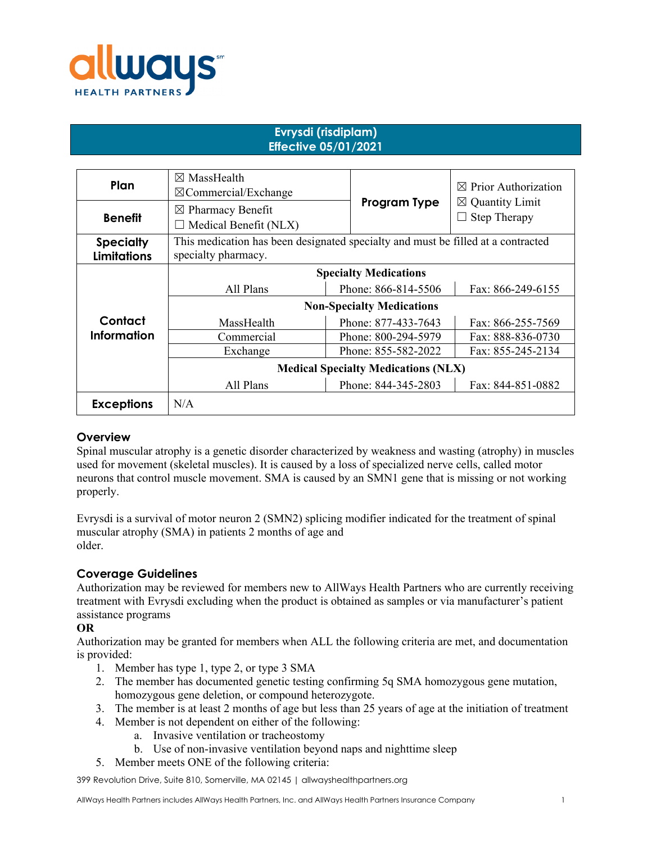

# **Evrysdi (risdiplam) Effective 05/01/2021**

| Plan                                   | $\boxtimes$ MassHealth<br>$\boxtimes$ Commercial/Exchange                                               |                     | $\boxtimes$ Prior Authorization                             |  |
|----------------------------------------|---------------------------------------------------------------------------------------------------------|---------------------|-------------------------------------------------------------|--|
| <b>Benefit</b>                         | $\boxtimes$ Pharmacy Benefit<br>Medical Benefit (NLX)                                                   | Program Type        | $\boxtimes$ Quantity Limit<br><b>Step Therapy</b><br>$\Box$ |  |
| <b>Specialty</b><br><b>Limitations</b> | This medication has been designated specialty and must be filled at a contracted<br>specialty pharmacy. |                     |                                                             |  |
|                                        | <b>Specialty Medications</b>                                                                            |                     |                                                             |  |
|                                        | All Plans                                                                                               | Phone: 866-814-5506 | Fax: 866-249-6155                                           |  |
|                                        | <b>Non-Specialty Medications</b>                                                                        |                     |                                                             |  |
| Contact                                | MassHealth                                                                                              | Phone: 877-433-7643 | Fax: 866-255-7569                                           |  |
| <b>Information</b>                     | Commercial                                                                                              | Phone: 800-294-5979 | Fax: 888-836-0730                                           |  |
|                                        | Exchange                                                                                                | Phone: 855-582-2022 | Fax: 855-245-2134                                           |  |
|                                        | <b>Medical Specialty Medications (NLX)</b>                                                              |                     |                                                             |  |
|                                        | All Plans                                                                                               | Phone: 844-345-2803 | Fax: 844-851-0882                                           |  |
| <b>Exceptions</b>                      | N/A                                                                                                     |                     |                                                             |  |

## **Overview**

Spinal muscular atrophy is a genetic disorder characterized by weakness and wasting (atrophy) in muscles used for movement (skeletal muscles). It is caused by a loss of specialized nerve cells, called motor neurons that control muscle movement. SMA is caused by an SMN1 gene that is missing or not working properly.

Evrysdi is a survival of motor neuron 2 (SMN2) splicing modifier indicated for the treatment of spinal muscular atrophy (SMA) in patients 2 months of age and older.

## **Coverage Guidelines**

Authorization may be reviewed for members new to AllWays Health Partners who are currently receiving treatment with Evrysdi excluding when the product is obtained as samples or via manufacturer's patient assistance programs

### **OR**

Authorization may be granted for members when ALL the following criteria are met, and documentation is provided:

- 1. Member has type 1, type 2, or type 3 SMA
- 2. The member has documented genetic testing confirming 5q SMA homozygous gene mutation, homozygous gene deletion, or compound heterozygote.
- 3. The member is at least 2 months of age but less than 25 years of age at the initiation of treatment
- 4. Member is not dependent on either of the following:
	- a. Invasive ventilation or tracheostomy
	- b. Use of non-invasive ventilation beyond naps and nighttime sleep
- 5. Member meets ONE of the following criteria:

399 Revolution Drive, Suite 810, Somerville, MA 02145 | allwayshealthpartners.org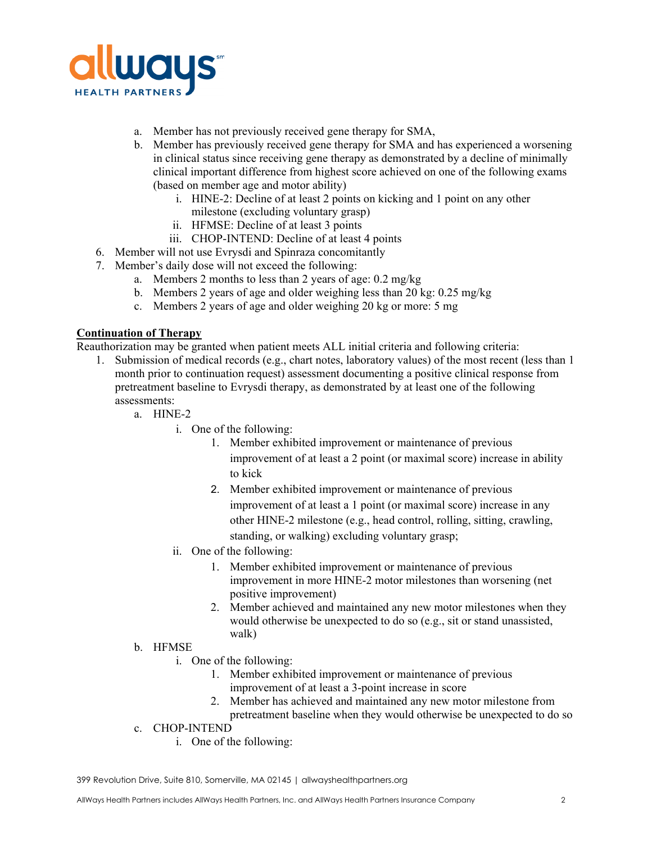

- a. Member has not previously received gene therapy for SMA,
- b. Member has previously received gene therapy for SMA and has experienced a worsening in clinical status since receiving gene therapy as demonstrated by a decline of minimally clinical important difference from highest score achieved on one of the following exams (based on member age and motor ability)
	- i. HINE-2: Decline of at least 2 points on kicking and 1 point on any other milestone (excluding voluntary grasp)
	- ii. HFMSE: Decline of at least 3 points
	- iii. CHOP-INTEND: Decline of at least 4 points
- 6. Member will not use Evrysdi and Spinraza concomitantly
- 7. Member's daily dose will not exceed the following:
	- a. Members 2 months to less than 2 years of age: 0.2 mg/kg
	- b. Members 2 years of age and older weighing less than 20 kg: 0.25 mg/kg
	- c. Members 2 years of age and older weighing 20 kg or more: 5 mg

### **Continuation of Therapy**

Reauthorization may be granted when patient meets ALL initial criteria and following criteria:

- 1. Submission of medical records (e.g., chart notes, laboratory values) of the most recent (less than 1 month prior to continuation request) assessment documenting a positive clinical response from pretreatment baseline to Evrysdi therapy, as demonstrated by at least one of the following assessments:
	- a. HINE-2
		- i. One of the following:
			- 1. Member exhibited improvement or maintenance of previous improvement of at least a 2 point (or maximal score) increase in ability to kick
			- 2. Member exhibited improvement or maintenance of previous improvement of at least a 1 point (or maximal score) increase in any other HINE-2 milestone (e.g., head control, rolling, sitting, crawling, standing, or walking) excluding voluntary grasp;
		- ii. One of the following:
			- 1. Member exhibited improvement or maintenance of previous improvement in more HINE-2 motor milestones than worsening (net positive improvement)
			- 2. Member achieved and maintained any new motor milestones when they would otherwise be unexpected to do so (e.g., sit or stand unassisted, walk)
	- b. HFMSE
		- i. One of the following:
			- 1. Member exhibited improvement or maintenance of previous improvement of at least a 3-point increase in score
			- 2. Member has achieved and maintained any new motor milestone from pretreatment baseline when they would otherwise be unexpected to do so
	- c. CHOP-INTEND
		- i. One of the following: